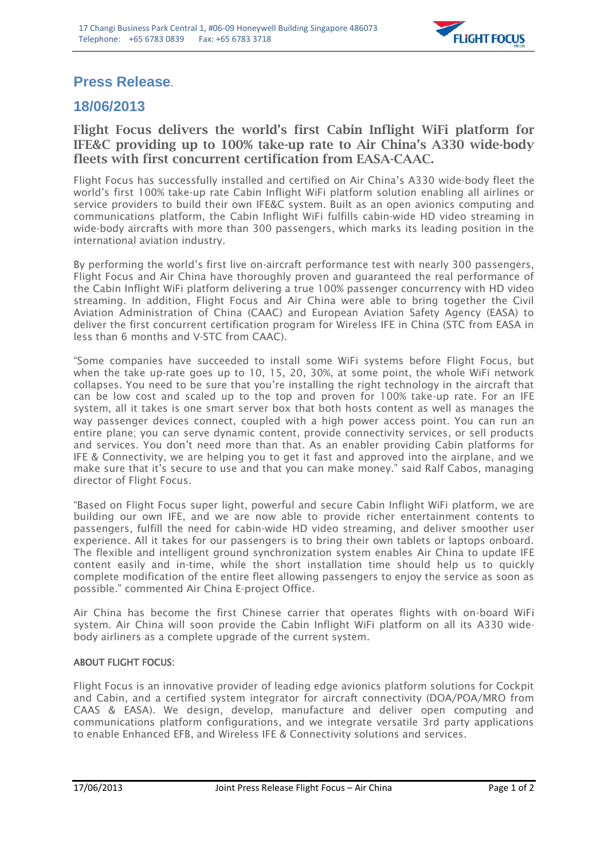

## **Press Release.**

## **18/06/2013**

## **Flight Focus delivers the world's first Cabin Inflight WiFi platform for IFE&C providing up to 100% take-up rate to Air China's A330 wide-body fleets with first concurrent certification from EASA-CAAC.**

Flight Focus has successfully installed and certified on Air China's A330 wide-body fleet the world's first 100% take-up rate Cabin Inflight WiFi platform solution enabling all airlines or service providers to build their own IFE&C system. Built as an open avionics computing and communications platform, the Cabin Inflight WiFi fulfills cabin-wide HD video streaming in wide-body aircrafts with more than 300 passengers, which marks its leading position in the international aviation industry.

By performing the world's first live on-aircraft performance test with nearly 300 passengers, Flight Focus and Air China have thoroughly proven and guaranteed the real performance of the Cabin Inflight WiFi platform delivering a true 100% passenger concurrency with HD video streaming. In addition, Flight Focus and Air China were able to bring together the Civil Aviation Administration of China (CAAC) and European Aviation Safety Agency (EASA) to deliver the first concurrent certification program for Wireless IFE in China (STC from EASA in less than 6 months and V-STC from CAAC).

"Some companies have succeeded to install some WiFi systems before Flight Focus, but when the take up-rate goes up to 10, 15, 20, 30%, at some point, the whole WiFi network collapses. You need to be sure that you're installing the right technology in the aircraft that can be low cost and scaled up to the top and proven for 100% take-up rate. For an IFE system, all it takes is one smart server box that both hosts content as well as manages the way passenger devices connect, coupled with a high power access point. You can run an entire plane; you can serve dynamic content, provide connectivity services, or sell products and services. You don't need more than that. As an enabler providing Cabin platforms for IFE & Connectivity, we are helping you to get it fast and approved into the airplane, and we make sure that it's secure to use and that you can make money." said Ralf Cabos, managing director of Flight Focus.

"Based on Flight Focus super light, powerful and secure Cabin Inflight WiFi platform, we are building our own IFE, and we are now able to provide richer entertainment contents to passengers, fulfill the need for cabin-wide HD video streaming, and deliver smoother user experience. All it takes for our passengers is to bring their own tablets or laptops onboard. The flexible and intelligent ground synchronization system enables Air China to update IFE content easily and in-time, while the short installation time should help us to quickly complete modification of the entire fleet allowing passengers to enjoy the service as soon as possible." commented Air China E-project Office.

Air China has become the first Chinese carrier that operates flights with on-board WiFi system. Air China will soon provide the Cabin Inflight WiFi platform on all its A330 widebody airliners as a complete upgrade of the current system.

## ABOUT FLIGHT FOCUS:

Flight Focus is an innovative provider of leading edge avionics platform solutions for Cockpit and Cabin, and a certified system integrator for aircraft connectivity (DOA/POA/MRO from CAAS & EASA). We design, develop, manufacture and deliver open computing and communications platform configurations, and we integrate versatile 3rd party applications to enable Enhanced EFB, and Wireless IFE & Connectivity solutions and services.